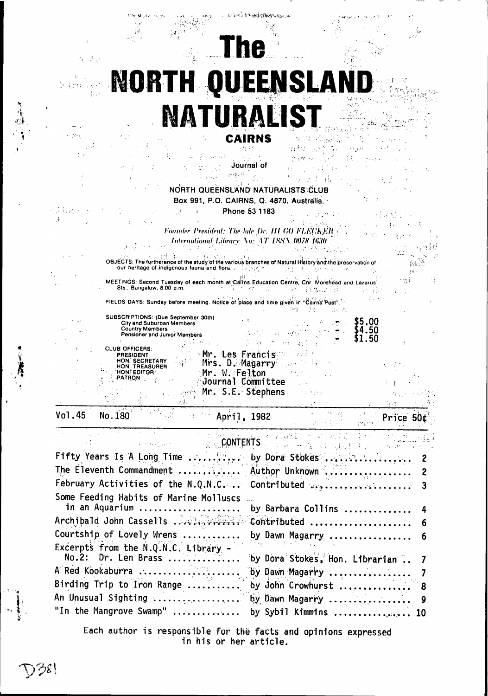|  |                                                                                |                                                                                          |                                                                                      | <b>REAL AND PROPERTY OF A STATE OF THE ALL PARTIES</b> |                                                                                                                                                                                             |         |              |
|--|--------------------------------------------------------------------------------|------------------------------------------------------------------------------------------|--------------------------------------------------------------------------------------|--------------------------------------------------------|---------------------------------------------------------------------------------------------------------------------------------------------------------------------------------------------|---------|--------------|
|  |                                                                                |                                                                                          |                                                                                      |                                                        |                                                                                                                                                                                             |         |              |
|  |                                                                                |                                                                                          |                                                                                      |                                                        |                                                                                                                                                                                             |         |              |
|  | $\mathcal{F}_{\mathcal{F}}$<br>谷                                               |                                                                                          |                                                                                      |                                                        |                                                                                                                                                                                             |         |              |
|  |                                                                                |                                                                                          |                                                                                      |                                                        | <b>NORTH OUEENSLAND</b>                                                                                                                                                                     |         |              |
|  |                                                                                |                                                                                          |                                                                                      |                                                        |                                                                                                                                                                                             |         |              |
|  |                                                                                |                                                                                          | <b>NATURALIS</b>                                                                     |                                                        |                                                                                                                                                                                             |         |              |
|  |                                                                                |                                                                                          |                                                                                      | <b>CAIRNS</b>                                          |                                                                                                                                                                                             |         |              |
|  |                                                                                |                                                                                          |                                                                                      |                                                        |                                                                                                                                                                                             |         |              |
|  |                                                                                |                                                                                          |                                                                                      | Journal of                                             |                                                                                                                                                                                             |         |              |
|  |                                                                                |                                                                                          |                                                                                      | NORTH QUEENSLAND NATURALISTS CLUB                      |                                                                                                                                                                                             |         |              |
|  |                                                                                |                                                                                          |                                                                                      | Box 991, P.O. CAIRNS, Q. 4870. Australia.              |                                                                                                                                                                                             |         |              |
|  |                                                                                |                                                                                          |                                                                                      | Phone 53 1183                                          |                                                                                                                                                                                             |         |              |
|  |                                                                                |                                                                                          | Founder President: The late Dr. HUGO FLECKER                                         |                                                        |                                                                                                                                                                                             |         |              |
|  |                                                                                |                                                                                          |                                                                                      | International Library No: AT ISSN 0078 1630            |                                                                                                                                                                                             |         |              |
|  |                                                                                |                                                                                          | our heritage of indigenous fauna and flora. The engage                               |                                                        | OBJECTS: The furtherance of the study of the various branches of Natural History and the preservation of                                                                                    |         |              |
|  |                                                                                |                                                                                          |                                                                                      |                                                        | MEETINGS: Second Tuesday of each month at Calrns Education Centre, Cnr. Morehead and Lazarus                                                                                                |         |              |
|  |                                                                                | Sts., Bungalow, 8.00 p.m.                                                                | FIELDS DAYS: Sunday before meeting. Notice of place and time given in "Cairns Post". | 그는 아이에 가장 아주 아이들이 아이들이 있다.                             |                                                                                                                                                                                             |         |              |
|  |                                                                                |                                                                                          | SUBSCRIPTIONS: (Due September 30th)                                                  |                                                        |                                                                                                                                                                                             |         |              |
|  |                                                                                | City and Suburban Members<br><b>Country Members</b><br>Pensioner and Junior Members      |                                                                                      |                                                        |                                                                                                                                                                                             |         |              |
|  |                                                                                | CLUB OFFICERS:                                                                           |                                                                                      |                                                        |                                                                                                                                                                                             |         |              |
|  |                                                                                | <b>PRESIDENT</b><br><b>HON. SECRETARY</b><br><b>HON. TREASURER</b>                       |                                                                                      | Mr. Les Franc<br>Mrs. D. Magarry                       |                                                                                                                                                                                             |         |              |
|  |                                                                                | <b>HON, EDITOR</b><br><b>PATRON</b><br>$\mathcal{A}$ :                                   |                                                                                      | Mr. W. Felton<br>Journal Committee                     |                                                                                                                                                                                             |         |              |
|  |                                                                                |                                                                                          |                                                                                      | <b>Mr. S.E. Stephens</b> and the                       |                                                                                                                                                                                             |         |              |
|  | Vol.45<br>No.180                                                               |                                                                                          | التلائ<br>$+3$                                                                       | $\blacksquare$ April, 1982                             |                                                                                                                                                                                             | 小まい (牛) | Price $50¢$  |
|  |                                                                                |                                                                                          |                                                                                      | are constants.                                         | $\mathcal{L}_{\mathcal{L}}$ , $\mathcal{L}_{\mathcal{L}}$ , $\mathcal{L}_{\mathcal{L}}$<br>$\mathcal{F}=\mathcal{L}^{\mathcal{F}}=\mathcal{H}^{\mathcal{F}}(\mathcal{F})$ .<br>se na lambin | mer.    |              |
|  |                                                                                | $\mathcal{L}(\mathcal{A})$ and $\mathcal{L}(\mathcal{A})$ and $\mathcal{L}(\mathcal{A})$ |                                                                                      | $\Gamma$ CONTENTS                                      | 有一味 无法的人                                                                                                                                                                                    |         |              |
|  | Fifty Years Is A Long Time  by Dora Stokes                                     |                                                                                          |                                                                                      |                                                        |                                                                                                                                                                                             |         | 2            |
|  | The Eleventh Commandment  Author Unknown<br>February Activities of the N.Q.N.C |                                                                                          |                                                                                      |                                                        |                                                                                                                                                                                             |         | $\mathbf{2}$ |
|  | Some Feeding Habits of Marine Molluscs                                         |                                                                                          |                                                                                      |                                                        | Contributed says concernations.                                                                                                                                                             |         | 3            |
|  | in an Aquarium                                                                 |                                                                                          |                                                                                      |                                                        | by Barbara Collins                                                                                                                                                                          |         | 4            |
|  | Archibald John Cassells . 2004                                                 |                                                                                          |                                                                                      |                                                        | Contributed                                                                                                                                                                                 |         | 6            |
|  | Courtship of Lovely Wrens<br>Excerpts from the N.Q.N.C. Library -              |                                                                                          |                                                                                      |                                                        | by Dawn Magarry                                                                                                                                                                             |         | 6            |
|  | No.2:                                                                          |                                                                                          | Dr. Len Brass                                                                        |                                                        | by Dora Stokes, Hon. Librarian                                                                                                                                                              |         | 7            |
|  |                                                                                |                                                                                          |                                                                                      |                                                        | by Dawn Magarry                                                                                                                                                                             |         | 7            |
|  | Birding Trip to Iron Range                                                     |                                                                                          |                                                                                      |                                                        | by John Crowhurst                                                                                                                                                                           |         | 8            |
|  | An Unusual Sighting<br>"In the Mangrove Swamp"                                 |                                                                                          |                                                                                      |                                                        | by Dawn Magarry                                                                                                                                                                             |         |              |
|  |                                                                                |                                                                                          |                                                                                      |                                                        | by Sybil Kimmins  10                                                                                                                                                                        |         |              |
|  |                                                                                |                                                                                          |                                                                                      | in his or her article.                                 | Each author is responsible for the facts and opinions expressed                                                                                                                             |         |              |

 $\sim$  :

 $- - -$ 

 $\overline{\phantom{a}}$ 

Each author is responsible for the facts and opinions expressed<br>in his or her article.

 $D381$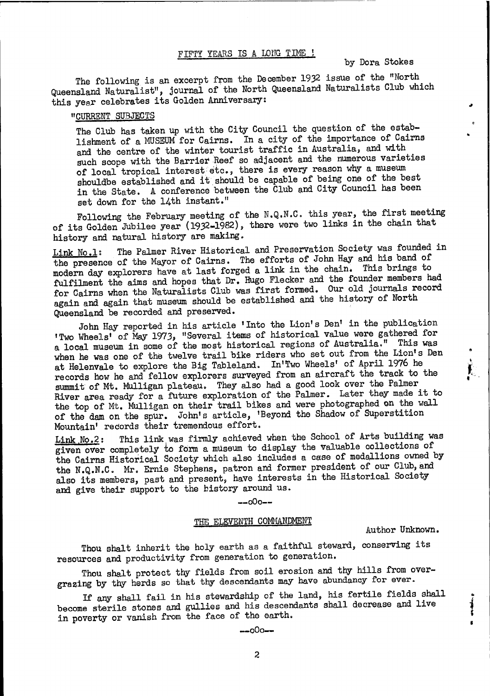# FIFTY YEARS IS A LONG TIME !

#### by Dora Stokes

The following is an excerpt from the December 1932 issue of the "North Queensland Naturalist", journal of the North Queensland Naturalists Club which this year celebrates its Golden Anniversary:

## "CURRENT SUBJECTS

The Club has taken up with the City Council the question of the establishment of a MUSEUM for Cairns. In a city of the importance of Cairns and the centre of the winter tourist traffic in Australia, and with such scope with the Barrier Reef so adjacent and the numerous varieties of local tropical interest etc., there is every reason why a museum shouldbe established and it should be capable of being one of the best in the State. A conference between the Club and City Council has been set down for the 14th instant."

Following the February meeting of the N.Q.N.C. this year, the first meeting of its Golden Jubilee year (1932-1982), there were two links in the chain that history and natural history are making.

The Palmer River Historical and Preservation Society was founded in Link No.1: the presence of the Mayor of Cairns. The efforts of John Hay and his band of modern day explorers have at last forged a link in the chain. This brings to fulfilment the aims and hopes that Dr. Hugo Flecker and the founder members had for Cairns when the Naturalists Club was first formed. Our old journals record again and again that museum should be established and the history of North Queensland be recorded and preserved.

John Hay reported in his article 'Into the Lion's Den' in the publication 'Two Wheels' of May 1973, "Several items of historical value were gathered for a local museum in some of the most historical regions of Australia." This was when he was one of the twelve trail bike riders who set out from the Lion's Den at Helenvale to explore the Big Tableland. In'Two Wheels' of April 1976 he records how he and fellow explorers surveyed from an aircraft the track to the summit of Mt. Mulligan plateau. They also had a good look over the Palmer River area ready for a future exploration of the Palmer. Later they made it to the top of Mt. Mulligan on their trail bikes and were photographed on the wall of the dam on the spur. John's article, 'Beyond the Shadow of Superstition Mountain' records their tremendous effort.

This link was firmly achieved when the School of Arts building was  $Link$   $No.2:$ given over completely to form a museum to display the valuable collections of the Cairns Historical Society which also includes a case of medallions owned by the N.Q.N.C. Mr. Ernie Stephens, patron and former president of our Club, and also its members, past and present, have interests in the Historical Society and give their support to the history around us.

#### $-000-$

#### THE ELEVENTH COMMANDMENT

Author Unknown.

Thou shalt inherit the holy earth as a faithful steward, conserving its resources and productivity from generation to generation.

Thou shalt protect thy fields from soil erosion and thy hills from overgrazing by thy herds so that thy descendants may have abundancy for ever.

If any shall fail in his stewardship of the land, his fertile fields shall become sterile stones and gullies and his descendants shall decrease and live in poverty or vanish from the face of the earth.

--000--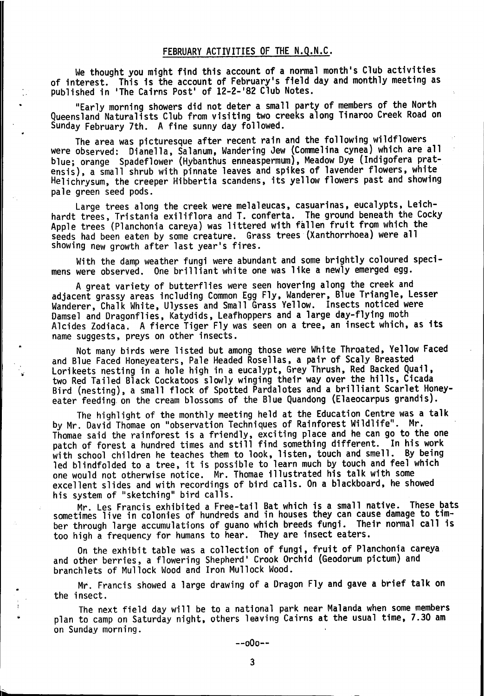We thought you might find this account of a normal month's Club activities of interest. This is the account of February's field day and monthly meeting as published in 'The Cairns Post' of 12-2-'82 Club Notes.

"Early morning showers did not deter a small party of members of the North Queensland Naturalists Club from visiting two creeks along Tinaroo Creek Road on Sunday February 7th. A fine sunny day followed.

The area was picturesque after recent rain and the following wildflowers. were observed: Dianella, Salanum, Wandering Jew (Commelina cynea) which are all blue; orange Spadeflower (Hybanthus enneaspermum), Meadow Dye (Indigofera pratensis), a small shrub with pinnate leaves and spikes of lavender flowers, white Helichrysum, the creeper Hibbertia scandens, its yellow flowers past and showing pale green seed pods.

Large trees along the creek were melaleucas, casuarinas, eucalypts, Leichhardt trees, Tristania exiliflora and T. conferta. The ground beneath the Cocky Apple trees (Planchonia careya) was littered with fallen fruit from which the seeds had been eaten by some creature. Grass trees (Xanthorrhoea) were all showing new growth after last year's fires.

With the damp weather fungi were abundant and some brightly coloured specimens were observed. One brilliant white one was like a newly emerged egg.

A great variety of butterflies were seen hovering along the creek and adjacent grassy areas including Common Egg Fly, Wanderer, Blue Triangle, Lesser Wanderer, Chalk White, Ulysses and Small Grass Yellow. Insects noticed were Damsel and Dragonflies, Katydids, Leafhoppers and a large day-flying moth Alcides Zodiaca. A fierce Tiger Fly was seen on a tree, an insect which, as its name suggests, preys on other insects.

Not many birds were listed but among those were White Throated, Yellow Faced and Blue Faced Honeyeaters, Pale Headed Rosellas, a pair of Scaly Breasted Lorikeets nesting in a hole high in a eucalypt, Grey Thrush, Red Backed Quail, two Red Tailed Black Cockatoos slowly winging their way over the hills, Cicada Bird (nesting), a small flock of Spotted Pardalotes and a brilliant Scarlet Honeyeater feeding on the cream blossoms of the Blue Quandong (Elaeocarpus grandis).

The highlight of the monthly meeting held at the Education Centre was a talk by Mr. David Thomae on "observation Techniques of Rainforest Wildlife". Mr. Thomae said the rainforest is a friendly, exciting place and he can go to the one patch of forest a hundred times and still find something different. In his work with school children he teaches them to look, listen, touch and smell. By being led blindfolded to a tree, it is possible to learn much by touch and feel which one would not otherwise notice. Mr. Thomae illustrated his talk with some excellent slides and with recordings of bird calls. 0n a blackboard, he showed his system of "sketching" bird calls.

Mr. Les Francis exhibited a Free-tail Bat which is a small native. These bats sometimes live in colonies of hundreds and in houses they can cause damage to timber through large accumulations of guano which breeds fungi. Their normal call is too high a frequency for humans to hear. They are insect eaters.

On the exhibit table was a collection of fungi, fruit of Planchonia careya and other berries, a flowering Shepherd' Crook Orchid (Geodorum pictum) and branchlets of Mullock Wood and Iron Mullock Wood.

Mr. Francis showed a large drawing of a Dragon Fly and gave a brief talk on the insect.

The next field day will be to a national park near Malanda when some members plan to camp on Saturday night, others leaving Cairns at the usual time, 7.30 am on Sunday morning.

3

i-r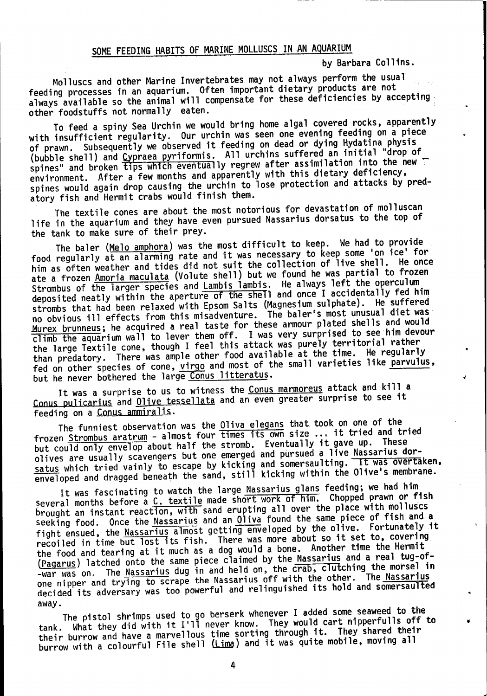# SOME FEEDING HABITS OF MARINE MOLLUSCS IN AN AQUARIUM

by Barbara Collins.

Molluscs and other Marine Invertebrates may not always perform the usual feeding processes in an aquarium. Often important dietary products are not always available so the animal will compensate for these deficiencies by accepting other foodstuffs not normally eaten.

To feed a spiny Sea Urchin we would bring home algal covered rocks, apparently with insufficient regularity. Our urchin was seen one evening feeding on a piece of prawn. Subsequently we observed it feeding on dead or dying Hydatina physis (bubble shell) and Cypraea pyriformis. All urchins suffered an initial "drop of spines" and broken tips which eventually regrew after assimilation into the new environment. After a few months and apparently with this dietary deficiency, spines would again drop causing the urchin to lose protection and attacks by predatory fish and Hermit crabs would finish them.

The textile cones are about the most notorious for devastation of molluscan life in the aquarium and they have even pursued Nassarius dorsatus to the top of the tank to make sure of their prey.

The baler (Melo amphora) was the most difficult to keep. We had to provide food regularly at an alarming rate and it was necessary to keep some 'on ice' for him as often weather and tides did not suit the collection of live shell. He once ate a frozen Amoria maculata (Volute shell) but we found he was partial to frozen Strombus of the larger species and Lambis lambis. He always left the operculum deposited neatly within the aperture of the shell and once I accidentally fed him strombs that had been relaxed with Epsom Salts (Magnesium sulphate). He suffered no obvious ill effects from this misadventure. The baler's most unusual diet was Murex brunneus; he acquired a real taste for these armour plated shells and would<br>climb the aquarium wall to lever them off. I was very surprised to see him devour the large Textile cone, though I feel this attack was purely territorial rather than predatory. There was ample other food available at the time. He regularly fed on other species of cone, virgo and most of the small varieties like parvulus, but he never bothered the large Conus litteratus.

It was a surprise to us to witness the Conus marmoreus attack and kill a Conus pulicarius and Olive tessellata and an even greater surprise to see it feeding on a Conus ammiralis.

The funniest observation was the Oliva elegans that took on one of the frozen Strombus aratrum - almost four times its own size ... it tried and tried but could only envelop about half the stromb. Eventually it gave up. These olives are usually scavengers but one emerged and pursued a live Nassarius dorsatus which tried vainly to escape by kicking and somersaulting. It was overtaken, enveloped and dragged beneath the sand, still kicking within the Olive's membrane.

It was fascinating to watch the large Nassarius glans feeding; we had him several months before a C. textile made short work of him. Chopped prawn or fish brought an instant reaction, with sand erupting all over the place with molluscs seeking food. Once the Nassarius and an Oliva found the same piece of fish and a fight ensued, the Nassarius almost getting enveloped by the olive. Fortunately it recoiled in time but lost its fish. There was more about so it set to, covering the food and tearing at it much as a dog would a bone. Another time the Hermit (Pagarus) latched onto the same piece claimed by the Nassarius and a real tug-of--war was on. The Nassarius dug in and held on, the crab, clutching the morsel in<br>one nipper and trying to scrape the Nassarius off with the other. The Nassarius decided its adversary was too powerful and relinguished its hold and somersaulted away.

The pistol shrimps used to go berserk whenever I added some seaweed to the tank. What they did with it I'll never know. They would cart nipperfulls off to their burrow and have a marvellous time sorting through it. They shared their burrow with a colourful File shell (Lima) and it was quite mobile, moving all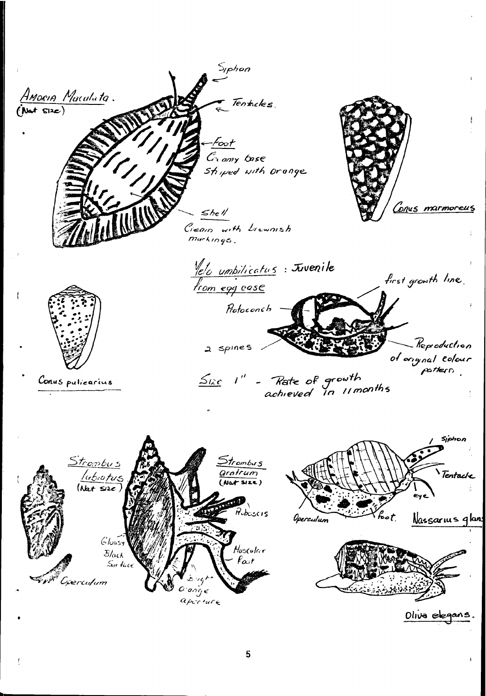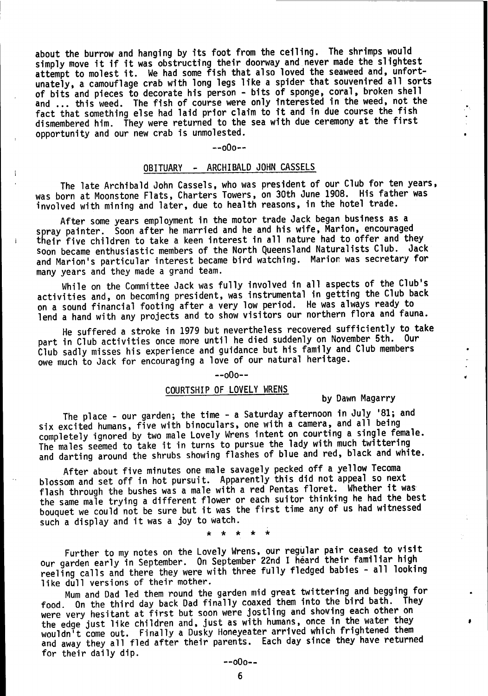about the burrow and hanging by its foot from the ceiling. The shrimps would simply move it if it was obstructing their doorway and never made the slightest attempt to molest it. We had some fish that also loved the seaweed and, unfortunately, a camouflage crab with long legs like a spider that souvenired all sorts of bits and pieces to decorate his person - bits of sponge, coral, broken shell and ... this weed. The fish of course were only interested in the weed, not the and ... this weed. The fish of course were only interested in the need, host fact that something else had laid prior claim to it and in due course the fish dismembered him. They were returned to the sea with due ceremony at the first opportunity and our new crab is unmolested.

#### --o0o--

## OBITUARY - ARCHIBALD JOHN CASSELS

The late Archibald John Cassels, who was president of our Club for ten years, was born at Moonstone Flats, Charters Towers, on 30th June 1908. His father was involved with mining and later, due to health reasons, in the hotel trade.

After some years employment in the motor trade Jack began-business as <sup>a</sup> Alter some years emproyment in the motor trace back above and his wife, Marion, encouraged spray painter. Soon after he married and he and his wife, had to offer and they<br>their five children to take a keen interest in all nature had to offer and they soon became enthusiastic members of the North Queensland Naturalists Club. Jack and Marion's particular interest became bird watching. Marion was secretary for many years and they made a grand team.

While on the Committee Jack was fully involved in all aspects of the Club's activities and, on becoming president, was instrumental in getting the Club back on a sound financial footing after a very low period. He was always ready to lend a hand with any projects and to show visitors our northern flora and fauna.

He suffered a stroke in 1979 but nevertheless recovered sufficiently to take ne surrered a stroke in 1979 but hever theress recovered surriber 5th. Our<br>part in Club activities once more until he died suddenly on November 5th. Our part in olds decriveres ence more and guidance but his family and Club members ove much to Jack for encouraging a love of our natural heritage.

#### --o0o--

#### C0URTSHIP 0F L0VELY WRENS

#### by Dawn Magarry

The place - our garden; the time - a Saturday afternoon in July '81; and Ine place - our garden; the time - a saturday arternoon in our;<br>six excited humans, five with binoculars, one with a camera, and all being completely ignored by two male Lovely Wrens intent on courting a single female. The males seemed to take it in turns to pursue the lady with much twittering and darting around the shrubs showing flashes of blue and red, black and white.

After about five minutes one male savagely pecked off a yellow Tecoma blossom and set off in hot pursuit. Apparently this did not appeal so next flash through the bushes was a male with a red Pentas floret. Whether it was the same male trying a different flower or each suitor thinking he had the best bouquet we could not be sure but it was the first time any of us had witnessed such a display and it was a Joy to watch.

> $\bullet$  $\star$  $\star$

Further to my notes on the Lovely Wrens, our regular pair ceased to visit our garden early in September. On September 22nd I heard their familiar high reeling calls and there they were with three fully fledged babies - all looking like dull versions of their mother.

Mum and Dad led them round the garden mid great twittering and begging for food. On the third day back Dad finally coaxed them into the bird bath. They were very hesitant at first but soon were jostling and showing each other on the edge just like children and, just as with humans, once in the water they wouldn't come out. Finally a Dusky Honeyeater arrived which frightened them and away they all fled after their parents. Each day since they have returned for their daily dip.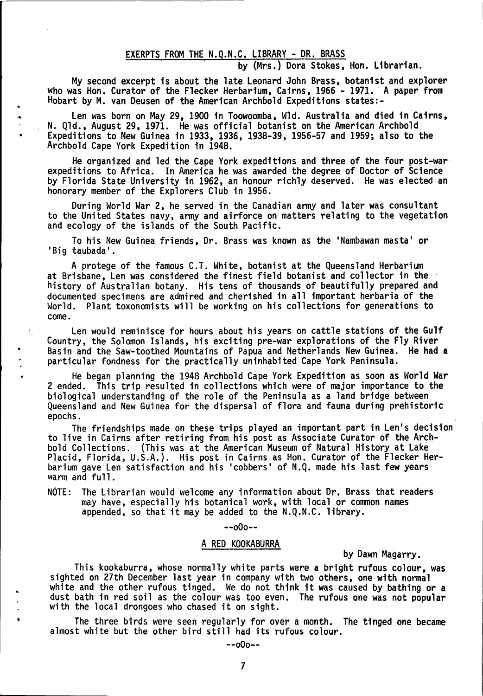## EXERPTS FROM THE N.Q.N.C. LIBRARY - DR. BRASS

by (Mrs.) Dora Stokes, Hon. Librarian.

My second excerpt is about the late Leonard John Brass, botanist and explorer who was Hon. Curator of the Flecker Herbarlum, Calrns, 1966 - 1971. A paper from Hobart by M. van Deusen of the American Archbold Expeditlons states:-

Len was born on May 2<mark>9, 1900 in Toowoomba, Wld. Australia an</mark>d died in Cairns, N. qld., August 29,197L. He was official botanlst on the American Archbold Expeditions to New Guinea in 1933, 1936, 1938-39, 1956-57 and 1959; also to the Archbold Cape York Expedition ln 1948.

He organized and led the Cape York expeditions and three of the four post-war expeditions to Africa. In America he was awarded the degree of Doctor of Science by Florida State University in 1962, an honour richly deserved. He was elected an honorary member of the Explorers Club in 1956.

During World War 2, he served in the Canadian arrny and later was consultant to the United States navy, army and airforce on matters relating to the vegetation and ecology of the islands of the South Pacific.

To his New Guinea friends, Dr. Brass was known as the 'Nambawan masta' or 'Big taubada'.

A protege of the famous C.T. White, botanist at the Queensland Herbarium at Brisbane, Len was considered the finest field botanist and collector in the history of Australian botany. His tens of thousands of beautifully prepared and documented speclmens are admired and cherished in all important herbaria of the World. Plant toxonomists will be working on his collections for generations to come.

Len would reminisce for hours about his years on cattle stations of the Gulf Country, the Solomon Islands, his exciting pre-war explorations of the Fly River Basin and the Saw-toothed Mountains of Papua and Netherlands New Guinea. He had a particular fondness for the practically uninhabited Cape York Peninsula.

He began planning the 1948 Archbold Cape York Expedition as soon as World War 2 ended. This trip resulted in collections which were of major importance to the biological understanding of the role of the Peninsula as a land bridge betweer Queensl and and New Guinea for the dispersal of flora and fauna during prehistoric epochs.

The friendships made on these trips played an important part in Len's decision to live in Cairns after retiring from his post as Associate Curator of the Archbold Collections. (This was at the American Museum of Natural History at Lake Placid, Florida, U.S.A.). His post in Cairns as Hon. Curator of the Flecker Herbarium gave Len satisfaction and his 'cobbers' of N.Q. made his last few years warm and full.

NOTE: The Librarian would welcome any information about Dr. Brass that readers may have, especially his botanical work, wlth local or comnon names appended, so that it may be added to the N.Q.N.C. library.

 $-000 - -$ 

#### A RED KOOKABURRA

by Dawn Magarry.

signeed on Eren becember rast year. In company with two benefis, one with hormal dust bath in red soil as the colour was too even. The rufous one was not popular adst buth in its soft as the colour was too every This kookaburra, whose normally white parts were a bright rufous colour, was sighted on 27th December last year in company with two others, one with normal

The three birds were seen regularly for over a month. The tinged one became<br>t white but the other bird still had its rufous colour. almost white but the other bird still had its rufous colour.

 $-000 - -$